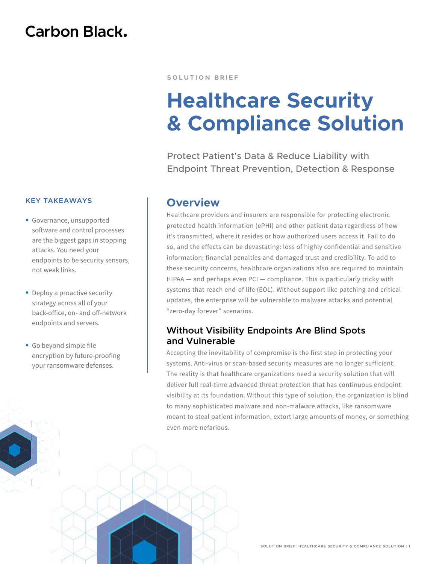# **Carbon Black.**

#### **KEY TAKEAWAYS**

- Governance, unsupported software and control processes are the biggest gaps in stopping attacks. You need your endpoints to be security sensors, not weak links.
- Deploy a proactive security strategy across all of your back-office, on- and off-network endpoints and servers.
- Go beyond simple file encryption by future-proofing your ransomware defenses.

#### **SOLUTION BRIEF**

# **Healthcare Security & Compliance Solution**

Protect Patient's Data & Reduce Liability with Endpoint Threat Prevention, Detection & Response

# **Overview**

Healthcare providers and insurers are responsible for protecting electronic protected health information (ePHI) and other patient data regardless of how it's transmitted, where it resides or how authorized users access it. Fail to do so, and the effects can be devastating: loss of highly confidential and sensitive information; financial penalties and damaged trust and credibility. To add to these security concerns, healthcare organizations also are required to maintain HIPAA — and perhaps even PCI — compliance. This is particularly tricky with systems that reach end-of life (EOL). Without support like patching and critical updates, the enterprise will be vulnerable to malware attacks and potential "zero-day forever" scenarios.

# **Without Visibility Endpoints Are Blind Spots and Vulnerable**

Accepting the inevitability of compromise is the first step in protecting your systems. Anti-virus or scan-based security measures are no longer sufficient. The reality is that healthcare organizations need a security solution that will deliver full real-time advanced threat protection that has continuous endpoint visibility at its foundation. Without this type of solution, the organization is blind to many sophisticated malware and non-malware attacks, like ransomware meant to steal patient information, extort large amounts of money, or something even more nefarious.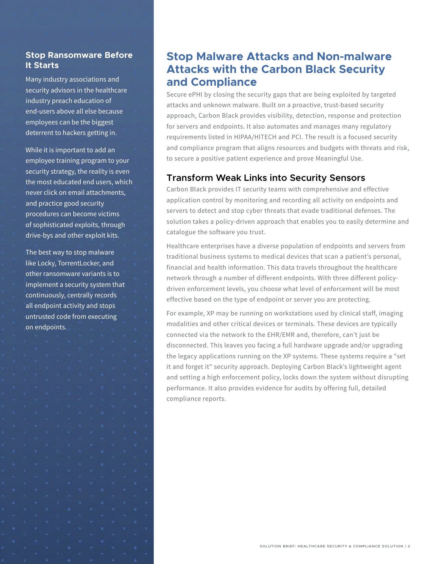## **Stop Ransomware Before It Starts**

Many industry associations and security advisors in the healthcare industry preach education of end-users above all else because employees can be the biggest deterrent to hackers getting in.

While it is important to add an employee training program to your security strategy, the reality is even the most educated end users, which never click on email attachments, and practice good security procedures can become victims of sophisticated exploits, through drive-bys and other exploit kits.

The best way to stop malware like Locky, TorrentLocker, and other ransomware variants is to implement a security system that continuously, centrally records all endpoint activity and stops untrusted code from executing on endpoints.

# **Stop Malware Attacks and Non-malware Attacks with the Carbon Black Security and Compliance**

Secure ePHI by closing the security gaps that are being exploited by targeted attacks and unknown malware. Built on a proactive, trust-based security approach, Carbon Black provides visibility, detection, response and protection for servers and endpoints. It also automates and manages many regulatory requirements listed in HIPAA/HITECH and PCI. The result is a focused security and compliance program that aligns resources and budgets with threats and risk, to secure a positive patient experience and prove Meaningful Use.

# **Transform Weak Links into Security Sensors**

Carbon Black provides IT security teams with comprehensive and effective application control by monitoring and recording all activity on endpoints and servers to detect and stop cyber threats that evade traditional defenses. The solution takes a policy-driven approach that enables you to easily determine and catalogue the software you trust.

Healthcare enterprises have a diverse population of endpoints and servers from traditional business systems to medical devices that scan a patient's personal, financial and health information. This data travels throughout the healthcare network through a number of different endpoints. With three different policydriven enforcement levels, you choose what level of enforcement will be most effective based on the type of endpoint or server you are protecting.

For example, XP may be running on workstations used by clinical staff, imaging modalities and other critical devices or terminals. These devices are typically connected via the network to the EHR/EMR and, therefore, can't just be disconnected. This leaves you facing a full hardware upgrade and/or upgrading the legacy applications running on the XP systems. These systems require a "set it and forget it" security approach. Deploying Carbon Black's lightweight agent and setting a high enforcement policy, locks down the system without disrupting performance. It also provides evidence for audits by offering full, detailed compliance reports.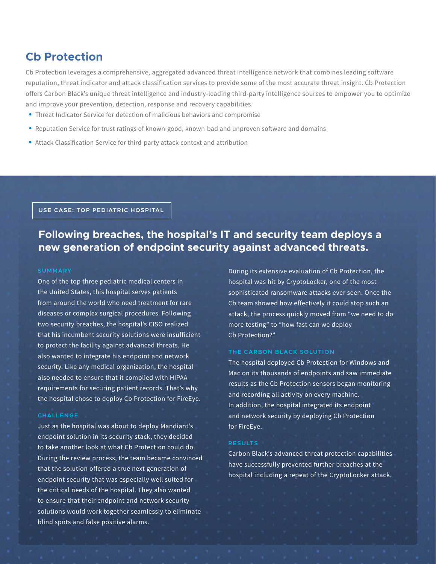# **Cb Protection**

Cb Protection leverages a comprehensive, aggregated advanced threat intelligence network that combines leading software reputation, threat indicator and attack classification services to provide some of the most accurate threat insight. Cb Protection offers Carbon Black's unique threat intelligence and industry-leading third-party intelligence sources to empower you to optimize and improve your prevention, detection, response and recovery capabilities.

- Threat Indicator Service for detection of malicious behaviors and compromise
- Reputation Service for trust ratings of known-good, known-bad and unproven software and domains
- Attack Classification Service for third-party attack context and attribution

**USE CASE: TOP PEDIATRIC HOSPITAL**

# **Following breaches, the hospital's IT and security team deploys a new generation of endpoint security against advanced threats.**

#### **SUMMARY**

One of the top three pediatric medical centers in the United States, this hospital serves patients from around the world who need treatment for rare diseases or complex surgical procedures. Following two security breaches, the hospital's CISO realized that his incumbent security solutions were insufficient to protect the facility against advanced threats. He also wanted to integrate his endpoint and network security. Like any medical organization, the hospital also needed to ensure that it complied with HIPAA requirements for securing patient records. That's why the hospital chose to deploy Cb Protection for FireEye.

#### **CHALLENGE**

Just as the hospital was about to deploy Mandiant's endpoint solution in its security stack, they decided to take another look at what Cb Protection could do. During the review process, the team became convinced that the solution offered a true next generation of endpoint security that was especially well suited for the critical needs of the hospital. They also wanted to ensure that their endpoint and network security solutions would work together seamlessly to eliminate blind spots and false positive alarms.

During its extensive evaluation of Cb Protection, the hospital was hit by CryptoLocker, one of the most sophisticated ransomware attacks ever seen. Once the Cb team showed how effectively it could stop such an attack, the process quickly moved from "we need to do more testing" to "how fast can we deploy Cb Protection?"

#### **THE CARBON BLACK SOLUTION**

The hospital deployed Cb Protection for Windows and Mac on its thousands of endpoints and saw immediate results as the Cb Protection sensors began monitoring and recording all activity on every machine. In addition, the hospital integrated its endpoint and network security by deploying Cb Protection for FireEye.

#### **RESULTS**

Carbon Black's advanced threat protection capabilities have successfully prevented further breaches at the hospital including a repeat of the CryptoLocker attack.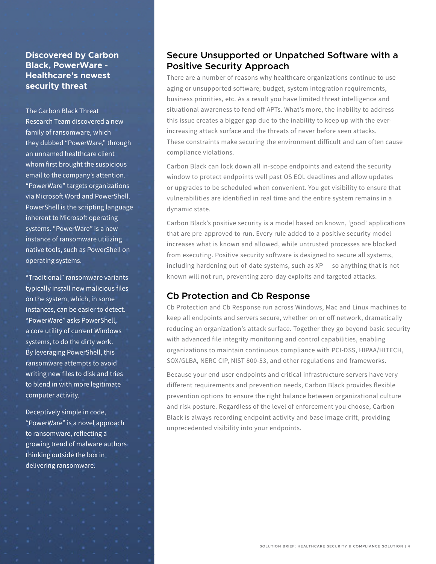### **Discovered by Carbon Black, PowerWare - Healthcare's newest security threat**

The Carbon Black Threat Research Team discovered a new family of ransomware, which they dubbed "PowerWare," through an unnamed healthcare client whom first brought the suspicious email to the company's attention. "PowerWare" targets organizations via Microsoft Word and PowerShell. PowerShell is the scripting language inherent to Microsoft operating systems. "PowerWare" is a new instance of ransomware utilizing native tools, such as PowerShell on operating systems.

"Traditional" ransomware variants typically install new malicious files on the system, which, in some instances, can be easier to detect. "PowerWare" asks PowerShell, a core utility of current Windows systems, to do the dirty work. By leveraging PowerShell, this ransomware attempts to avoid writing new files to disk and tries to blend in with more legitimate computer activity.

Deceptively simple in code, "PowerWare" is a novel approach to ransomware, reflecting a growing trend of malware authors thinking outside the box in delivering ransomware.

## **Secure Unsupported or Unpatched Software with a Positive Security Approach**

There are a number of reasons why healthcare organizations continue to use aging or unsupported software; budget, system integration requirements, business priorities, etc. As a result you have limited threat intelligence and situational awareness to fend off APTs. What's more, the inability to address this issue creates a bigger gap due to the inability to keep up with the everincreasing attack surface and the threats of never before seen attacks. These constraints make securing the environment difficult and can often cause compliance violations.

Carbon Black can lock down all in-scope endpoints and extend the security window to protect endpoints well past OS EOL deadlines and allow updates or upgrades to be scheduled when convenient. You get visibility to ensure that vulnerabilities are identified in real time and the entire system remains in a dynamic state.

Carbon Black's positive security is a model based on known, 'good' applications that are pre-approved to run. Every rule added to a positive security model increases what is known and allowed, while untrusted processes are blocked from executing. Positive security software is designed to secure all systems, including hardening out-of-date systems, such as XP — so anything that is not known will not run, preventing zero-day exploits and targeted attacks.

## **Cb Protection and Cb Response**

Cb Protection and Cb Response run across Windows, Mac and Linux machines to keep all endpoints and servers secure, whether on or off network, dramatically reducing an organization's attack surface. Together they go beyond basic security with advanced file integrity monitoring and control capabilities, enabling organizations to maintain continuous compliance with PCI-DSS, HIPAA/HITECH, SOX/GLBA, NERC CIP, NIST 800-53, and other regulations and frameworks.

Because your end user endpoints and critical infrastructure servers have very different requirements and prevention needs, Carbon Black provides flexible prevention options to ensure the right balance between organizational culture and risk posture. Regardless of the level of enforcement you choose, Carbon Black is always recording endpoint activity and base image drift, providing unprecedented visibility into your endpoints.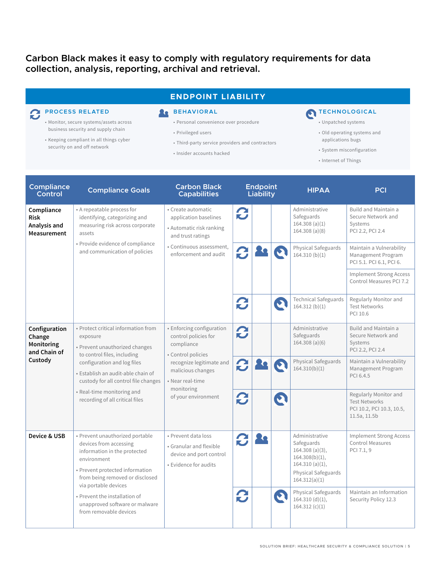# **Carbon Black makes it easy to comply with regulatory requirements for data collection, analysis, reporting, archival and retrieval.**

### **ENDPOINT LIABILITY**

# **PROCESS RELATED**

#### • Monitor, secure systems/assets across

- business security and supply chain
- Keeping compliant in all things cyber security on and off network

#### **BEHAVIORAL** • Personal convenience over procedure

- Privileged users
- Third-party service providers and contractors
- Insider accounts hacked

# **TECHNOLOGICAL**

- Unpatched systems
- Old operating systems and applications bugs
- System misconfiguration
- Internet of Things

| <b>Compliance</b><br>Control                                     | <b>Compliance Goals</b>                                                                                                                                                                                                                                                                        | <b>Carbon Black</b><br><b>Capabilities</b>                                                                                                                                                      | <b>Endpoint</b><br><b>Liability</b> |   | <b>HIPAA</b>                                                                                                                    | PCI                                                                                        |
|------------------------------------------------------------------|------------------------------------------------------------------------------------------------------------------------------------------------------------------------------------------------------------------------------------------------------------------------------------------------|-------------------------------------------------------------------------------------------------------------------------------------------------------------------------------------------------|-------------------------------------|---|---------------------------------------------------------------------------------------------------------------------------------|--------------------------------------------------------------------------------------------|
| Compliance<br><b>Risk</b><br>Analysis and<br>Measurement         | • A repeatable process for<br>identifying, categorizing and<br>measuring risk across corporate<br>assets<br>· Provide evidence of compliance<br>and communication of policies                                                                                                                  | • Create automatic<br>application baselines<br>• Automatic risk ranking<br>and trust ratings<br>• Continuous assessment,<br>enforcement and audit                                               | 2                                   |   | Administrative<br>Safeguards<br>164.308 (a)(1)<br>164.308 (a)(8)                                                                | Build and Maintain a<br>Secure Network and<br>Systems<br>PCI 2.2, PCI 2.4                  |
|                                                                  |                                                                                                                                                                                                                                                                                                |                                                                                                                                                                                                 | C                                   |   | Physical Safeguards<br>164.310(b)(1)                                                                                            | Maintain a Vulnerability<br>Management Program<br>PCI 5.1. PCI 6.1, PCI 6.                 |
|                                                                  |                                                                                                                                                                                                                                                                                                |                                                                                                                                                                                                 |                                     |   |                                                                                                                                 | <b>Implement Strong Access</b><br>Control Measures PCI 7.2                                 |
|                                                                  |                                                                                                                                                                                                                                                                                                |                                                                                                                                                                                                 | 2                                   | O | <b>Technical Safeguards</b><br>164.312(b)(1)                                                                                    | Regularly Monitor and<br><b>Test Networks</b><br>PCI 10.6                                  |
| Configuration<br>Change<br>Monitoring<br>and Chain of<br>Custody | • Protect critical information from<br>exposure<br>• Prevent unauthorized changes<br>to control files, including<br>configuration and log files<br>· Establish an audit-able chain of<br>custody for all control file changes<br>• Real-time monitoring and<br>recording of all critical files | • Enforcing configuration<br>control policies for<br>compliance<br>• Control policies<br>recognize legitimate and<br>malicious changes<br>• Near real-time<br>monitoring<br>of your environment | C                                   |   | Administrative<br>Safeguards<br>164.308 (a)(6)                                                                                  | <b>Build and Maintain a</b><br>Secure Network and<br>Systems<br>PCI 2.2, PCI 2.4           |
|                                                                  |                                                                                                                                                                                                                                                                                                |                                                                                                                                                                                                 | C                                   |   | Physical Safeguards<br>164.310(b)(1)                                                                                            | Maintain a Vulnerability<br>Management Program<br>PCI 6.4.5                                |
|                                                                  |                                                                                                                                                                                                                                                                                                |                                                                                                                                                                                                 | 2                                   | O |                                                                                                                                 | Regularly Monitor and<br><b>Test Networks</b><br>PCI 10.2, PCI 10.3, 10.5,<br>11.5a, 11.5b |
| Device & USB                                                     | • Prevent unauthorized portable<br>devices from accessing<br>information in the protected<br>environment<br>• Prevent protected information<br>from being removed or disclosed<br>via portable devices                                                                                         | · Prevent data loss<br>• Granular and flexible<br>device and port control<br>• Evidence for audits                                                                                              | 2                                   |   | Administrative<br>Safeguards<br>$164.308 (a)(3)$ ,<br>164.308(b)(1),<br>164.310 (a)(1),<br>Physical Safeguards<br>164.312(a)(1) | <b>Implement Strong Access</b><br><b>Control Measures</b><br>PCI 7.1, 9                    |
|                                                                  | • Prevent the installation of<br>unapproved software or malware<br>from removable devices                                                                                                                                                                                                      |                                                                                                                                                                                                 | C                                   |   | Physical Safeguards<br>164.310 $(d)(1)$ ,<br>164.312(c)(1)                                                                      | Maintain an Information<br>Security Policy 12.3                                            |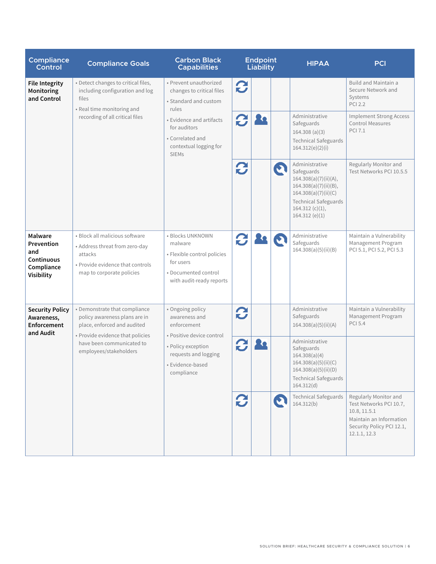| <b>Compliance</b><br><b>Control</b>                                           | <b>Compliance Goals</b>                                                                                                                                                                  | <b>Carbon Black</b><br><b>Capabilities</b>                                                                                                                                                      | <b>Endpoint</b><br>Liability |  |             | <b>HIPAA</b>                                                                                                                                                              | PCI                                                                                                                                      |
|-------------------------------------------------------------------------------|------------------------------------------------------------------------------------------------------------------------------------------------------------------------------------------|-------------------------------------------------------------------------------------------------------------------------------------------------------------------------------------------------|------------------------------|--|-------------|---------------------------------------------------------------------------------------------------------------------------------------------------------------------------|------------------------------------------------------------------------------------------------------------------------------------------|
| <b>File Integrity</b><br>Monitoring<br>and Control                            | • Detect changes to critical files,<br>including configuration and log<br>files<br>• Real time monitoring and<br>recording of all critical files                                         | · Prevent unauthorized<br>changes to critical files<br>• Standard and custom<br>rules<br>• Evidence and artifacts<br>for auditors<br>• Correlated and<br>contextual logging for<br><b>SIEMs</b> | 2                            |  |             |                                                                                                                                                                           | Build and Maintain a<br>Secure Network and<br>Systems<br><b>PCI 2.2</b>                                                                  |
|                                                                               |                                                                                                                                                                                          |                                                                                                                                                                                                 | B                            |  |             | Administrative<br>Safeguards<br>164.308 (a)(3)<br><b>Technical Safeguards</b><br>164.312(e)(2)(i)                                                                         | <b>Implement Strong Access</b><br>Control Measures<br><b>PCI 7.1</b>                                                                     |
|                                                                               |                                                                                                                                                                                          |                                                                                                                                                                                                 | 2                            |  | $\mathbf C$ | Administrative<br>Safeguards<br>164.308(a)(7)(ii)(A),<br>164.308(a)(7)(ii)(B),<br>164.308(a)(7)(ii)(C)<br><b>Technical Safeguards</b><br>164.312 (c)(1),<br>164.312(e)(1) | Regularly Monitor and<br>Test Networks PCI 10.5.5                                                                                        |
| Malware<br>Prevention<br>and<br>Continuous<br>Compliance<br><b>Visibility</b> | · Block all malicious software<br>• Address threat from zero-day<br>attacks<br>. Provide evidence that controls<br>map to corporate policies                                             | · Blocks UNKNOWN<br>malware<br>· Flexible control policies<br>for users<br>· Documented control<br>with audit-ready reports                                                                     | $\boldsymbol{c}$             |  |             | Administrative<br>Safeguards<br>164.308(a)(5)(ii)(B)                                                                                                                      | Maintain a Vulnerability<br>Management Program<br>PCI 5.1, PCI 5.2, PCI 5.3                                                              |
| <b>Security Policy</b><br>Awareness,<br><b>Enforcement</b><br>and Audit       | · Demonstrate that compliance<br>policy awareness plans are in<br>place, enforced and audited<br>• Provide evidence that policies<br>have been communicated to<br>employees/stakeholders | • Ongoing policy<br>awareness and<br>enforcement<br>• Positive device control<br>· Policy exception<br>requests and logging<br>· Evidence-based<br>compliance                                   | C                            |  |             | Administrative<br>Safeguards<br>164.308(a)(5)(ii)(A)                                                                                                                      | Maintain a Vulnerability<br>Management Program<br><b>PCI 5.4</b>                                                                         |
|                                                                               |                                                                                                                                                                                          |                                                                                                                                                                                                 | $\boldsymbol{c}$             |  |             | Administrative<br>Safeguards<br>164.308(a)(4)<br>164.308(a)(5)(ii)(C)<br>164.308(a)(5)(ii)(D)<br><b>Technical Safeguards</b><br>164.312(d)                                |                                                                                                                                          |
|                                                                               |                                                                                                                                                                                          |                                                                                                                                                                                                 | 2                            |  | D           | <b>Technical Safeguards</b><br>164.312(b)                                                                                                                                 | Regularly Monitor and<br>Test Networks PCI 10.7,<br>10.8, 11.5.1<br>Maintain an Information<br>Security Policy PCI 12.1,<br>12.1.1, 12.3 |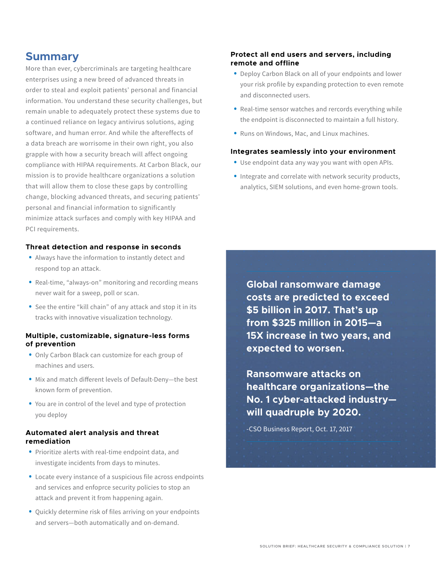# **Summary**

More than ever, cybercriminals are targeting healthcare enterprises using a new breed of advanced threats in order to steal and exploit patients' personal and financial information. You understand these security challenges, but remain unable to adequately protect these systems due to a continued reliance on legacy antivirus solutions, aging software, and human error. And while the aftereffects of a data breach are worrisome in their own right, you also grapple with how a security breach will affect ongoing compliance with HIPAA requirements. At Carbon Black, our mission is to provide healthcare organizations a solution that will allow them to close these gaps by controlling change, blocking advanced threats, and securing patients' personal and financial information to significantly minimize attack surfaces and comply with key HIPAA and PCI requirements.

#### **Threat detection and response in seconds**

- Always have the information to instantly detect and respond top an attack.
- Real-time, "always-on" monitoring and recording means never wait for a sweep, poll or scan.
- See the entire "kill chain" of any attack and stop it in its tracks with innovative visualization technology.

#### **Multiple, customizable, signature-less forms of prevention**

- Only Carbon Black can customize for each group of machines and users.
- Mix and match different levels of Default-Deny—the best known form of prevention.
- You are in control of the level and type of protection you deploy

#### **Automated alert analysis and threat remediation**

- Prioritize alerts with real-time endpoint data, and investigate incidents from days to minutes.
- Locate every instance of a suspicious file across endpoints and services and enfoprce security policies to stop an attack and prevent it from happening again.
- Quickly determine risk of files arriving on your endpoints and servers—both automatically and on-demand.

#### **Protect all end users and servers, including remote and offline**

- Deploy Carbon Black on all of your endpoints and lower your risk profile by expanding protection to even remote and disconnected users.
- Real-time sensor watches and rercords everything while the endpoint is disconnected to maintain a full history.
- Runs on Windows, Mac, and Linux machines.

#### **Integrates seamlessly into your environment**

- Use endpoint data any way you want with open APIs.
- Integrate and correlate with network security products, analytics, SIEM solutions, and even home-grown tools.

**Global ransomware damage costs are predicted to exceed \$5 billion in 2017. That's up from \$325 million in 2015—a 15X increase in two years, and expected to worsen.** 

**Ransomware attacks on healthcare organizations—the No. 1 cyber-attacked industry will quadruple by 2020.**

-CSO Business Report, Oct. 17, 2017